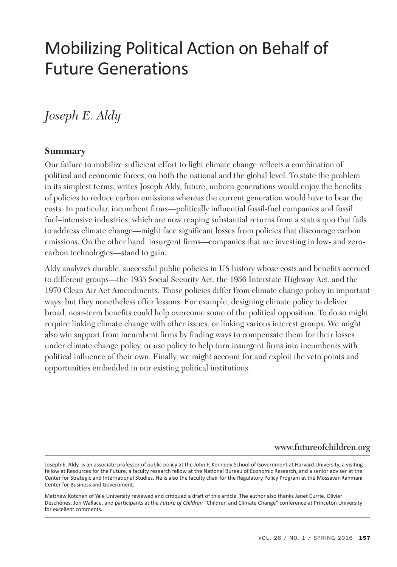# Mobilizing Political Action on Behalf of Future Generations

## *Joseph E. Aldy*

#### **Summary**

Our failure to mobilize sufficient effort to fight climate change reflects a combination of political and economic forces, on both the national and the global level. To state the problem in its simplest terms, writes Joseph Aldy, future, unborn generations would enjoy the benefits of policies to reduce carbon emissions whereas the current generation would have to bear the costs. In particular, incumbent firms—politically influential fossil-fuel companies and fossil fuel–intensive industries, which are now reaping substantial returns from a status quo that fails to address climate change—might face significant losses from policies that discourage carbon emissions. On the other hand, insurgent firms—companies that are investing in low- and zerocarbon technologies—stand to gain.

Aldy analyzes durable, successful public policies in US history whose costs and benefits accrued to different groups—the 1935 Social Security Act, the 1956 Interstate Highway Act, and the 1970 Clean Air Act Amendments. Those policies differ from climate change policy in important ways, but they nonetheless offer lessons. For example, designing climate policy to deliver broad, near-term benefits could help overcome some of the political opposition. To do so might require linking climate change with other issues, or linking various interest groups. We might also win support from incumbent firms by finding ways to compensate them for their losses under climate change policy, or use policy to help turn insurgent firms into incumbents with political influence of their own. Finally, we might account for and exploit the veto points and opportunities embedded in our existing political institutions.

**www.futureofchildren.org**

Joseph E. Aldy is an associate professor of public policy at the John F. Kennedy School of Government at Harvard University, a visiting fellow at Resources for the Future, a faculty research fellow at the National Bureau of Economic Research, and a senior adviser at the Center for Strategic and International Studies. He is also the faculty chair for the Regulatory Policy Program at the Mossavar-Rahmani Center for Business and Government.

Matthew Kotchen of Yale University reviewed and critiqued a draft of this article. The author also thanks Janet Currie, Olivier Deschênes, Jon Wallace, and participants at the *Future of Children* "Children and Climate Change" conference at Princeton University for excellent comments.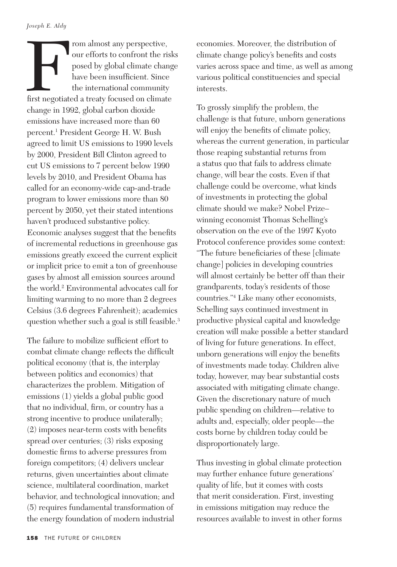From almost any perspective,<br>
our efforts to confront the risk<br>
posed by global climate chang<br>
have been insufficient. Since<br>
the international community<br>
first negotiated a treaty focused on climate our efforts to confront the risks posed by global climate change have been insufficient. Since the international community change in 1992, global carbon dioxide emissions have increased more than 60 percent.1 President George H. W. Bush agreed to limit US emissions to 1990 levels by 2000, President Bill Clinton agreed to cut US emissions to 7 percent below 1990 levels by 2010, and President Obama has called for an economy-wide cap-and-trade program to lower emissions more than 80 percent by 2050, yet their stated intentions haven't produced substantive policy. Economic analyses suggest that the benefits of incremental reductions in greenhouse gas emissions greatly exceed the current explicit or implicit price to emit a ton of greenhouse gases by almost all emission sources around the world.2 Environmental advocates call for limiting warming to no more than 2 degrees Celsius (3.6 degrees Fahrenheit); academics question whether such a goal is still feasible.<sup>3</sup>

The failure to mobilize sufficient effort to combat climate change reflects the difficult political economy (that is, the interplay between politics and economics) that characterizes the problem. Mitigation of emissions (1) yields a global public good that no individual, firm, or country has a strong incentive to produce unilaterally; (2) imposes near-term costs with benefits spread over centuries; (3) risks exposing domestic firms to adverse pressures from foreign competitors; (4) delivers unclear returns, given uncertainties about climate science, multilateral coordination, market behavior, and technological innovation; and (5) requires fundamental transformation of the energy foundation of modern industrial

economies. Moreover, the distribution of climate change policy's benefits and costs varies across space and time, as well as among various political constituencies and special interests.

To grossly simplify the problem, the challenge is that future, unborn generations will enjoy the benefits of climate policy, whereas the current generation, in particular those reaping substantial returns from a status quo that fails to address climate change, will bear the costs. Even if that challenge could be overcome, what kinds of investments in protecting the global climate should we make? Nobel Prize– winning economist Thomas Schelling's observation on the eve of the 1997 Kyoto Protocol conference provides some context: "The future beneficiaries of these [climate change] policies in developing countries will almost certainly be better off than their grandparents, today's residents of those countries."4 Like many other economists, Schelling says continued investment in productive physical capital and knowledge creation will make possible a better standard of living for future generations. In effect, unborn generations will enjoy the benefits of investments made today. Children alive today, however, may bear substantial costs associated with mitigating climate change. Given the discretionary nature of much public spending on children—relative to adults and, especially, older people—the costs borne by children today could be disproportionately large.

Thus investing in global climate protection may further enhance future generations' quality of life, but it comes with costs that merit consideration. First, investing in emissions mitigation may reduce the resources available to invest in other forms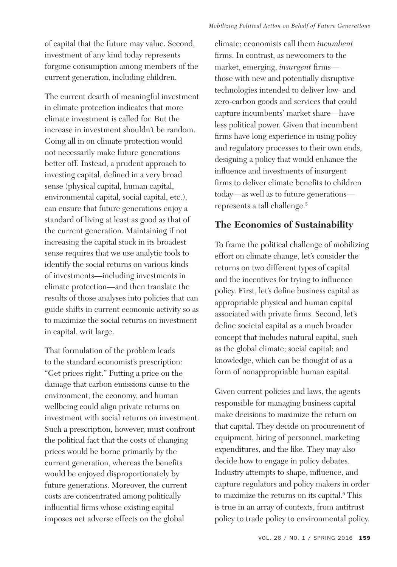of capital that the future may value. Second, investment of any kind today represents forgone consumption among members of the current generation, including children.

The current dearth of meaningful investment in climate protection indicates that more climate investment is called for. But the increase in investment shouldn't be random. Going all in on climate protection would not necessarily make future generations better off. Instead, a prudent approach to investing capital, defined in a very broad sense (physical capital, human capital, environmental capital, social capital, etc.), can ensure that future generations enjoy a standard of living at least as good as that of the current generation. Maintaining if not increasing the capital stock in its broadest sense requires that we use analytic tools to identify the social returns on various kinds of investments—including investments in climate protection—and then translate the results of those analyses into policies that can guide shifts in current economic activity so as to maximize the social returns on investment in capital, writ large.

That formulation of the problem leads to the standard economist's prescription: "Get prices right." Putting a price on the damage that carbon emissions cause to the environment, the economy, and human wellbeing could align private returns on investment with social returns on investment. Such a prescription, however, must confront the political fact that the costs of changing prices would be borne primarily by the current generation, whereas the benefits would be enjoyed disproportionately by future generations. Moreover, the current costs are concentrated among politically influential firms whose existing capital imposes net adverse effects on the global

climate; economists call them *incumbent* firms. In contrast, as newcomers to the market, emerging, *insurgent* firms those with new and potentially disruptive technologies intended to deliver low- and zero-carbon goods and services that could capture incumbents' market share—have less political power. Given that incumbent firms have long experience in using policy and regulatory processes to their own ends, designing a policy that would enhance the influence and investments of insurgent firms to deliver climate benefits to children today—as well as to future generations represents a tall challenge.5

## **The Economics of Sustainability**

To frame the political challenge of mobilizing effort on climate change, let's consider the returns on two different types of capital and the incentives for trying to influence policy. First, let's define business capital as appropriable physical and human capital associated with private firms. Second, let's define societal capital as a much broader concept that includes natural capital, such as the global climate; social capital; and knowledge, which can be thought of as a form of nonappropriable human capital.

Given current policies and laws, the agents responsible for managing business capital make decisions to maximize the return on that capital. They decide on procurement of equipment, hiring of personnel, marketing expenditures, and the like. They may also decide how to engage in policy debates. Industry attempts to shape, influence, and capture regulators and policy makers in order to maximize the returns on its capital.<sup>6</sup> This is true in an array of contexts, from antitrust policy to trade policy to environmental policy.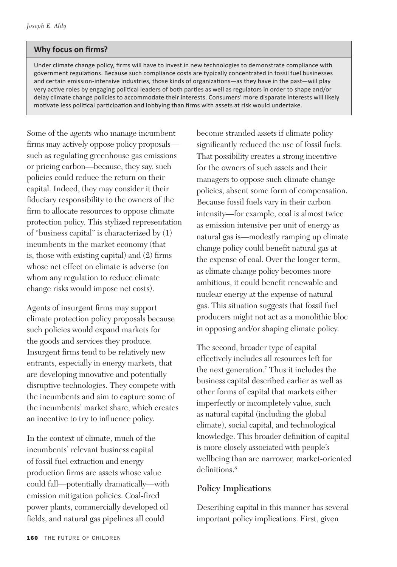#### **Why focus on firms?**

Under climate change policy, firms will have to invest in new technologies to demonstrate compliance with government regulations. Because such compliance costs are typically concentrated in fossil fuel businesses and certain emission-intensive industries, those kinds of organizations—as they have in the past—will play very active roles by engaging political leaders of both parties as well as regulators in order to shape and/or delay climate change policies to accommodate their interests. Consumers' more disparate interests will likely motivate less political participation and lobbying than firms with assets at risk would undertake.

Some of the agents who manage incumbent firms may actively oppose policy proposals such as regulating greenhouse gas emissions or pricing carbon—because, they say, such policies could reduce the return on their capital. Indeed, they may consider it their fiduciary responsibility to the owners of the firm to allocate resources to oppose climate protection policy. This stylized representation of "business capital" is characterized by (1) incumbents in the market economy (that is, those with existing capital) and (2) firms whose net effect on climate is adverse (on whom any regulation to reduce climate change risks would impose net costs).

Agents of insurgent firms may support climate protection policy proposals because such policies would expand markets for the goods and services they produce. Insurgent firms tend to be relatively new entrants, especially in energy markets, that are developing innovative and potentially disruptive technologies. They compete with the incumbents and aim to capture some of the incumbents' market share, which creates an incentive to try to influence policy.

In the context of climate, much of the incumbents' relevant business capital of fossil fuel extraction and energy production firms are assets whose value could fall—potentially dramatically—with emission mitigation policies. Coal-fired power plants, commercially developed oil fields, and natural gas pipelines all could

become stranded assets if climate policy significantly reduced the use of fossil fuels. That possibility creates a strong incentive for the owners of such assets and their managers to oppose such climate change policies, absent some form of compensation. Because fossil fuels vary in their carbon intensity—for example, coal is almost twice as emission intensive per unit of energy as natural gas is—modestly ramping up climate change policy could benefit natural gas at the expense of coal. Over the longer term, as climate change policy becomes more ambitious, it could benefit renewable and nuclear energy at the expense of natural gas. This situation suggests that fossil fuel producers might not act as a monolithic bloc in opposing and/or shaping climate policy.

The second, broader type of capital effectively includes all resources left for the next generation.7 Thus it includes the business capital described earlier as well as other forms of capital that markets either imperfectly or incompletely value, such as natural capital (including the global climate), social capital, and technological knowledge. This broader definition of capital is more closely associated with people's wellbeing than are narrower, market-oriented definitions.<sup>8</sup>

#### **Policy Implications**

Describing capital in this manner has several important policy implications. First, given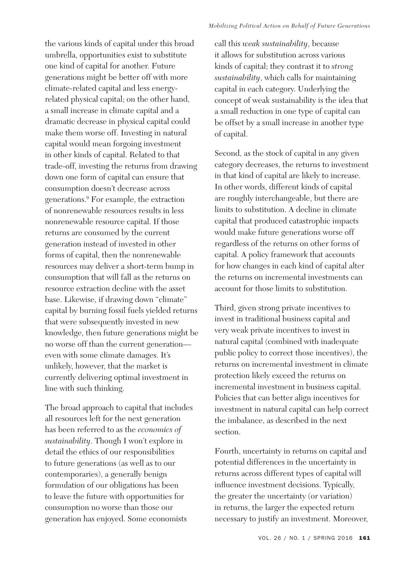the various kinds of capital under this broad umbrella, opportunities exist to substitute one kind of capital for another. Future generations might be better off with more climate-related capital and less energyrelated physical capital; on the other hand, a small increase in climate capital and a dramatic decrease in physical capital could make them worse off. Investing in natural capital would mean forgoing investment in other kinds of capital. Related to that trade-off, investing the returns from drawing down one form of capital can ensure that consumption doesn't decrease across generations.9 For example, the extraction of nonrenewable resources results in less nonrenewable resource capital. If those returns are consumed by the current generation instead of invested in other forms of capital, then the nonrenewable resources may deliver a short-term bump in consumption that will fall as the returns on resource extraction decline with the asset base. Likewise, if drawing down "climate" capital by burning fossil fuels yielded returns that were subsequently invested in new knowledge, then future generations might be no worse off than the current generation even with some climate damages. It's unlikely, however, that the market is currently delivering optimal investment in line with such thinking.

The broad approach to capital that includes all resources left for the next generation has been referred to as the *economics of sustainability*. Though I won't explore in detail the ethics of our responsibilities to future generations (as well as to our contemporaries), a generally benign formulation of our obligations has been to leave the future with opportunities for consumption no worse than those our generation has enjoyed. Some economists

#### *Mobilizing Political Action on Behalf of Future Generations*

call this *weak sustainability*, because it allows for substitution across various kinds of capital; they contrast it to *strong sustainability*, which calls for maintaining capital in each category. Underlying the concept of weak sustainability is the idea that a small reduction in one type of capital can be offset by a small increase in another type of capital.

Second, as the stock of capital in any given category decreases, the returns to investment in that kind of capital are likely to increase. In other words, different kinds of capital are roughly interchangeable, but there are limits to substitution. A decline in climate capital that produced catastrophic impacts would make future generations worse off regardless of the returns on other forms of capital. A policy framework that accounts for how changes in each kind of capital alter the returns on incremental investments can account for those limits to substitution.

Third, given strong private incentives to invest in traditional business capital and very weak private incentives to invest in natural capital (combined with inadequate public policy to correct those incentives), the returns on incremental investment in climate protection likely exceed the returns on incremental investment in business capital. Policies that can better align incentives for investment in natural capital can help correct the imbalance, as described in the next section.

Fourth, uncertainty in returns on capital and potential differences in the uncertainty in returns across different types of capital will influence investment decisions. Typically, the greater the uncertainty (or variation) in returns, the larger the expected return necessary to justify an investment. Moreover,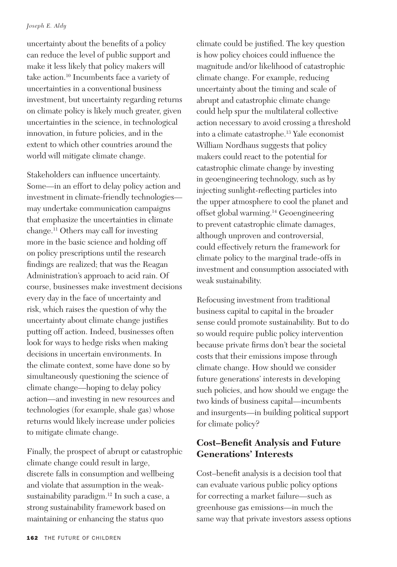uncertainty about the benefits of a policy can reduce the level of public support and make it less likely that policy makers will take action.10 Incumbents face a variety of uncertainties in a conventional business investment, but uncertainty regarding returns on climate policy is likely much greater, given uncertainties in the science, in technological innovation, in future policies, and in the extent to which other countries around the world will mitigate climate change.

Stakeholders can influence uncertainty. Some—in an effort to delay policy action and investment in climate-friendly technologies may undertake communication campaigns that emphasize the uncertainties in climate change.11 Others may call for investing more in the basic science and holding off on policy prescriptions until the research findings are realized; that was the Reagan Administration's approach to acid rain. Of course, businesses make investment decisions every day in the face of uncertainty and risk, which raises the question of why the uncertainty about climate change justifies putting off action. Indeed, businesses often look for ways to hedge risks when making decisions in uncertain environments. In the climate context, some have done so by simultaneously questioning the science of climate change—hoping to delay policy action—and investing in new resources and technologies (for example, shale gas) whose returns would likely increase under policies to mitigate climate change.

Finally, the prospect of abrupt or catastrophic climate change could result in large, discrete falls in consumption and wellbeing and violate that assumption in the weaksustainability paradigm.<sup>12</sup> In such a case, a strong sustainability framework based on maintaining or enhancing the status quo

climate could be justified. The key question is how policy choices could influence the magnitude and/or likelihood of catastrophic climate change. For example, reducing uncertainty about the timing and scale of abrupt and catastrophic climate change could help spur the multilateral collective action necessary to avoid crossing a threshold into a climate catastrophe.13 Yale economist William Nordhaus suggests that policy makers could react to the potential for catastrophic climate change by investing in geoengineering technology, such as by injecting sunlight-reflecting particles into the upper atmosphere to cool the planet and offset global warming.14 Geoengineering to prevent catastrophic climate damages, although unproven and controversial, could effectively return the framework for climate policy to the marginal trade-offs in investment and consumption associated with weak sustainability.

Refocusing investment from traditional business capital to capital in the broader sense could promote sustainability. But to do so would require public policy intervention because private firms don't bear the societal costs that their emissions impose through climate change. How should we consider future generations' interests in developing such policies, and how should we engage the two kinds of business capital—incumbents and insurgents—in building political support for climate policy?

## **Cost–Benefit Analysis and Future Generations' Interests**

Cost–benefit analysis is a decision tool that can evaluate various public policy options for correcting a market failure—such as greenhouse gas emissions—in much the same way that private investors assess options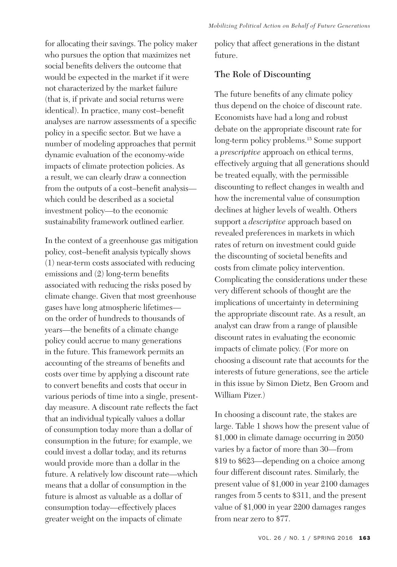future.

for allocating their savings. The policy maker who pursues the option that maximizes net social benefits delivers the outcome that would be expected in the market if it were not characterized by the market failure (that is, if private and social returns were identical). In practice, many cost–benefit analyses are narrow assessments of a specific policy in a specific sector. But we have a number of modeling approaches that permit dynamic evaluation of the economy-wide impacts of climate protection policies. As a result, we can clearly draw a connection from the outputs of a cost–benefit analysis which could be described as a societal investment policy—to the economic sustainability framework outlined earlier.

In the context of a greenhouse gas mitigation policy, cost–benefit analysis typically shows (1) near-term costs associated with reducing emissions and (2) long-term benefits associated with reducing the risks posed by climate change. Given that most greenhouse gases have long atmospheric lifetimes on the order of hundreds to thousands of years—the benefits of a climate change policy could accrue to many generations in the future. This framework permits an accounting of the streams of benefits and costs over time by applying a discount rate to convert benefits and costs that occur in various periods of time into a single, presentday measure. A discount rate reflects the fact that an individual typically values a dollar of consumption today more than a dollar of consumption in the future; for example, we could invest a dollar today, and its returns would provide more than a dollar in the future. A relatively low discount rate—which means that a dollar of consumption in the future is almost as valuable as a dollar of consumption today—effectively places greater weight on the impacts of climate

## **The Role of Discounting**

The future benefits of any climate policy thus depend on the choice of discount rate. Economists have had a long and robust debate on the appropriate discount rate for long-term policy problems.15 Some support a *prescriptive* approach on ethical terms, effectively arguing that all generations should be treated equally, with the permissible discounting to reflect changes in wealth and how the incremental value of consumption declines at higher levels of wealth. Others support a *descriptive* approach based on revealed preferences in markets in which rates of return on investment could guide the discounting of societal benefits and costs from climate policy intervention. Complicating the considerations under these very different schools of thought are the implications of uncertainty in determining the appropriate discount rate. As a result, an analyst can draw from a range of plausible discount rates in evaluating the economic impacts of climate policy. (For more on choosing a discount rate that accounts for the interests of future generations, see the article in this issue by Simon Dietz, Ben Groom and William Pizer.)

In choosing a discount rate, the stakes are large. Table 1 shows how the present value of \$1,000 in climate damage occurring in 2050 varies by a factor of more than 30—from \$19 to \$623—depending on a choice among four different discount rates. Similarly, the present value of \$1,000 in year 2100 damages ranges from 5 cents to \$311, and the present value of \$1,000 in year 2200 damages ranges from near zero to \$77.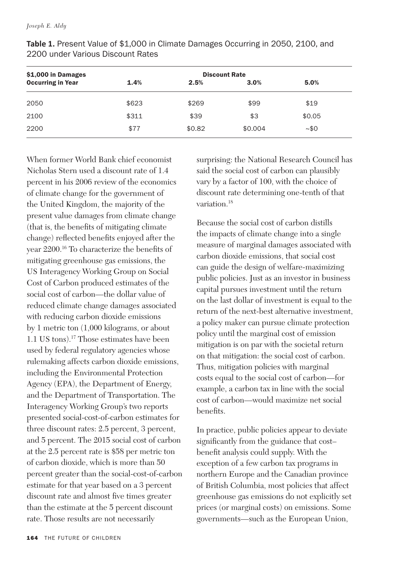| \$1,000 in Damages<br><b>Occurring in Year</b> | <b>Discount Rate</b> |        |         |        |
|------------------------------------------------|----------------------|--------|---------|--------|
|                                                | 1.4%                 | 2.5%   | 3.0%    | 5.0%   |
| 2050                                           | \$623                | \$269  | \$99    | \$19   |
| 2100                                           | \$311                | \$39   | \$3     | \$0.05 |
| 2200                                           | \$77                 | \$0.82 | \$0,004 | ~50    |

**Table 1.** Present Value of \$1,000 in Climate Damages Occurring in 2050, 2100, and 2200 under Various Discount Rates

When former World Bank chief economist Nicholas Stern used a discount rate of 1.4 percent in his 2006 review of the economics of climate change for the government of the United Kingdom, the majority of the present value damages from climate change (that is, the benefits of mitigating climate change) reflected benefits enjoyed after the year 2200.16 To characterize the benefits of mitigating greenhouse gas emissions, the US Interagency Working Group on Social Cost of Carbon produced estimates of the social cost of carbon—the dollar value of reduced climate change damages associated with reducing carbon dioxide emissions by 1 metric ton (1,000 kilograms, or about 1.1 US tons).17 Those estimates have been used by federal regulatory agencies whose rulemaking affects carbon dioxide emissions, including the Environmental Protection Agency (EPA), the Department of Energy, and the Department of Transportation. The Interagency Working Group's two reports presented social-cost-of-carbon estimates for three discount rates: 2.5 percent, 3 percent, and 5 percent. The 2015 social cost of carbon at the 2.5 percent rate is \$58 per metric ton of carbon dioxide, which is more than 50 percent greater than the social-cost-of-carbon estimate for that year based on a 3 percent discount rate and almost five times greater than the estimate at the 5 percent discount rate. Those results are not necessarily

surprising: the National Research Council has said the social cost of carbon can plausibly vary by a factor of 100, with the choice of discount rate determining one-tenth of that variation.18

Because the social cost of carbon distills the impacts of climate change into a single measure of marginal damages associated with carbon dioxide emissions, that social cost can guide the design of welfare-maximizing public policies. Just as an investor in business capital pursues investment until the return on the last dollar of investment is equal to the return of the next-best alternative investment, a policy maker can pursue climate protection policy until the marginal cost of emission mitigation is on par with the societal return on that mitigation: the social cost of carbon. Thus, mitigation policies with marginal costs equal to the social cost of carbon—for example, a carbon tax in line with the social cost of carbon—would maximize net social benefits.

In practice, public policies appear to deviate significantly from the guidance that cost– benefit analysis could supply. With the exception of a few carbon tax programs in northern Europe and the Canadian province of British Columbia, most policies that affect greenhouse gas emissions do not explicitly set prices (or marginal costs) on emissions. Some governments—such as the European Union,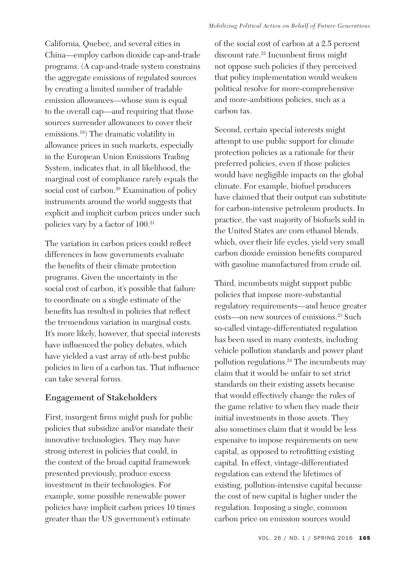California, Quebec, and several cities in China—employ carbon dioxide cap-and-trade programs. (A cap-and-trade system constrains the aggregate emissions of regulated sources by creating a limited number of tradable emission allowances—whose sum is equal to the overall cap—and requiring that those sources surrender allowances to cover their emissions.19) The dramatic volatility in allowance prices in such markets, especially in the European Union Emissions Trading System, indicates that, in all likelihood, the marginal cost of compliance rarely equals the social cost of carbon.<sup>20</sup> Examination of policy instruments around the world suggests that explicit and implicit carbon prices under such policies vary by a factor of 100.21

The variation in carbon prices could reflect differences in how governments evaluate the benefits of their climate protection programs. Given the uncertainty in the social cost of carbon, it's possible that failure to coordinate on a single estimate of the benefits has resulted in policies that reflect the tremendous variation in marginal costs. It's more likely, however, that special interests have influenced the policy debates, which have yielded a vast array of *n*th-best public policies in lieu of a carbon tax. That influence can take several forms.

## **Engagement of Stakeholders**

First, insurgent firms might push for public policies that subsidize and/or mandate their innovative technologies. They may have strong interest in policies that could, in the context of the broad capital framework presented previously, produce excess investment in their technologies. For example, some possible renewable power policies have implicit carbon prices 10 times greater than the US government's estimate

#### *Mobilizing Political Action on Behalf of Future Generations*

of the social cost of carbon at a 2.5 percent discount rate.22 Incumbent firms might not oppose such policies if they perceived that policy implementation would weaken political resolve for more-comprehensive and more-ambitious policies, such as a carbon tax.

Second, certain special interests might attempt to use public support for climate protection policies as a rationale for their preferred policies, even if those policies would have negligible impacts on the global climate. For example, biofuel producers have claimed that their output can substitute for carbon-intensive petroleum products. In practice, the vast majority of biofuels sold in the United States are corn ethanol blends, which, over their life cycles, yield very small carbon dioxide emission benefits compared with gasoline manufactured from crude oil.

Third, incumbents might support public policies that impose more-substantial regulatory requirements—and hence greater costs—on new sources of emissions.23 Such so-called vintage-differentiated regulation has been used in many contexts, including vehicle pollution standards and power plant pollution regulations.<sup>24</sup> The incumbents may claim that it would be unfair to set strict standards on their existing assets because that would effectively change the rules of the game relative to when they made their initial investments in those assets. They also sometimes claim that it would be less expensive to impose requirements on new capital, as opposed to retrofitting existing capital. In effect, vintage-differentiated regulation can extend the lifetimes of existing, pollution-intensive capital because the cost of new capital is higher under the regulation. Imposing a single, common carbon price on emission sources would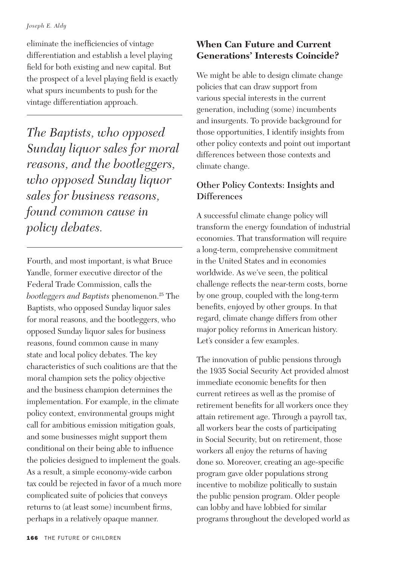eliminate the inefficiencies of vintage differentiation and establish a level playing field for both existing and new capital. But the prospect of a level playing field is exactly what spurs incumbents to push for the vintage differentiation approach.

*The Baptists, who opposed Sunday liquor sales for moral reasons, and the bootleggers, who opposed Sunday liquor sales for business reasons, found common cause in policy debates.*

Fourth, and most important, is what Bruce Yandle, former executive director of the Federal Trade Commission, calls the *bootleggers and Baptists* phenomenon.25 The Baptists, who opposed Sunday liquor sales for moral reasons, and the bootleggers, who opposed Sunday liquor sales for business reasons, found common cause in many state and local policy debates. The key characteristics of such coalitions are that the moral champion sets the policy objective and the business champion determines the implementation. For example, in the climate policy context, environmental groups might call for ambitious emission mitigation goals, and some businesses might support them conditional on their being able to influence the policies designed to implement the goals. As a result, a simple economy-wide carbon tax could be rejected in favor of a much more complicated suite of policies that conveys returns to (at least some) incumbent firms, perhaps in a relatively opaque manner.

## **When Can Future and Current Generations' Interests Coincide?**

We might be able to design climate change policies that can draw support from various special interests in the current generation, including (some) incumbents and insurgents. To provide background for those opportunities, I identify insights from other policy contexts and point out important differences between those contexts and climate change.

## **Other Policy Contexts: Insights and Differences**

A successful climate change policy will transform the energy foundation of industrial economies. That transformation will require a long-term, comprehensive commitment in the United States and in economies worldwide. As we've seen, the political challenge reflects the near-term costs, borne by one group, coupled with the long-term benefits, enjoyed by other groups. In that regard, climate change differs from other major policy reforms in American history. Let's consider a few examples.

The innovation of public pensions through the 1935 Social Security Act provided almost immediate economic benefits for then current retirees as well as the promise of retirement benefits for all workers once they attain retirement age. Through a payroll tax, all workers bear the costs of participating in Social Security, but on retirement, those workers all enjoy the returns of having done so. Moreover, creating an age-specific program gave older populations strong incentive to mobilize politically to sustain the public pension program. Older people can lobby and have lobbied for similar programs throughout the developed world as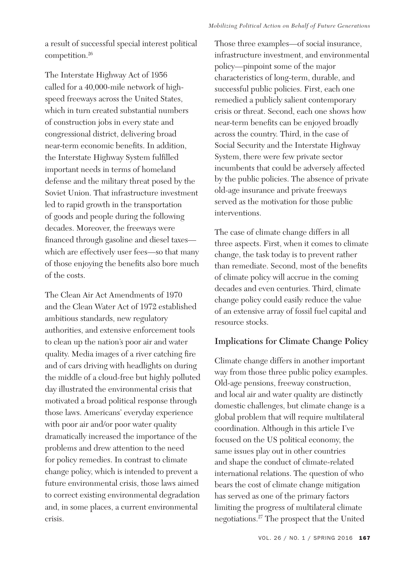a result of successful special interest political competition.26

The Interstate Highway Act of 1956 called for a 40,000-mile network of highspeed freeways across the United States, which in turn created substantial numbers of construction jobs in every state and congressional district, delivering broad near-term economic benefits. In addition, the Interstate Highway System fulfilled important needs in terms of homeland defense and the military threat posed by the Soviet Union. That infrastructure investment led to rapid growth in the transportation of goods and people during the following decades. Moreover, the freeways were financed through gasoline and diesel taxes which are effectively user fees—so that many of those enjoying the benefits also bore much of the costs.

The Clean Air Act Amendments of 1970 and the Clean Water Act of 1972 established ambitious standards, new regulatory authorities, and extensive enforcement tools to clean up the nation's poor air and water quality. Media images of a river catching fire and of cars driving with headlights on during the middle of a cloud-free but highly polluted day illustrated the environmental crisis that motivated a broad political response through those laws. Americans' everyday experience with poor air and/or poor water quality dramatically increased the importance of the problems and drew attention to the need for policy remedies. In contrast to climate change policy, which is intended to prevent a future environmental crisis, those laws aimed to correct existing environmental degradation and, in some places, a current environmental crisis.

Those three examples—of social insurance, infrastructure investment, and environmental policy—pinpoint some of the major characteristics of long-term, durable, and successful public policies. First, each one remedied a publicly salient contemporary crisis or threat. Second, each one shows how near-term benefits can be enjoyed broadly across the country. Third, in the case of Social Security and the Interstate Highway System, there were few private sector incumbents that could be adversely affected by the public policies. The absence of private old-age insurance and private freeways served as the motivation for those public interventions.

The case of climate change differs in all three aspects. First, when it comes to climate change, the task today is to prevent rather than remediate. Second, most of the benefits of climate policy will accrue in the coming decades and even centuries. Third, climate change policy could easily reduce the value of an extensive array of fossil fuel capital and resource stocks.

## **Implications for Climate Change Policy**

Climate change differs in another important way from those three public policy examples. Old-age pensions, freeway construction, and local air and water quality are distinctly domestic challenges, but climate change is a global problem that will require multilateral coordination. Although in this article I've focused on the US political economy, the same issues play out in other countries and shape the conduct of climate-related international relations. The question of who bears the cost of climate change mitigation has served as one of the primary factors limiting the progress of multilateral climate negotiations.27 The prospect that the United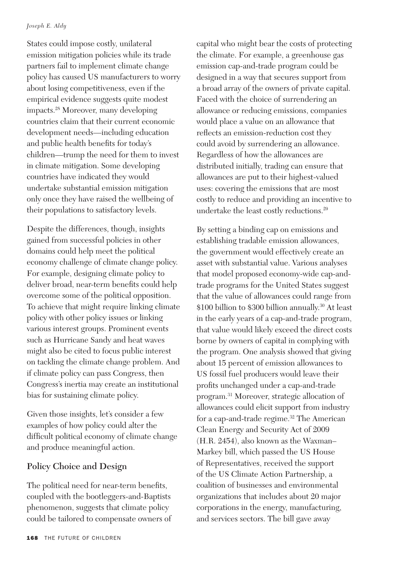States could impose costly, unilateral emission mitigation policies while its trade partners fail to implement climate change policy has caused US manufacturers to worry about losing competitiveness, even if the empirical evidence suggests quite modest impacts.28 Moreover, many developing countries claim that their current economic development needs—including education and public health benefits for today's children—trump the need for them to invest in climate mitigation. Some developing countries have indicated they would undertake substantial emission mitigation only once they have raised the wellbeing of their populations to satisfactory levels.

Despite the differences, though, insights gained from successful policies in other domains could help meet the political economy challenge of climate change policy. For example, designing climate policy to deliver broad, near-term benefits could help overcome some of the political opposition. To achieve that might require linking climate policy with other policy issues or linking various interest groups. Prominent events such as Hurricane Sandy and heat waves might also be cited to focus public interest on tackling the climate change problem. And if climate policy can pass Congress, then Congress's inertia may create an institutional bias for sustaining climate policy.

Given those insights, let's consider a few examples of how policy could alter the difficult political economy of climate change and produce meaningful action.

#### **Policy Choice and Design**

The political need for near-term benefits, coupled with the bootleggers-and-Baptists phenomenon, suggests that climate policy could be tailored to compensate owners of

capital who might bear the costs of protecting the climate. For example, a greenhouse gas emission cap-and-trade program could be designed in a way that secures support from a broad array of the owners of private capital. Faced with the choice of surrendering an allowance or reducing emissions, companies would place a value on an allowance that reflects an emission-reduction cost they could avoid by surrendering an allowance. Regardless of how the allowances are distributed initially, trading can ensure that allowances are put to their highest-valued uses: covering the emissions that are most costly to reduce and providing an incentive to undertake the least costly reductions.29

By setting a binding cap on emissions and establishing tradable emission allowances, the government would effectively create an asset with substantial value. Various analyses that model proposed economy-wide cap-andtrade programs for the United States suggest that the value of allowances could range from \$100 billion to \$300 billion annually.30 At least in the early years of a cap-and-trade program, that value would likely exceed the direct costs borne by owners of capital in complying with the program. One analysis showed that giving about 15 percent of emission allowances to US fossil fuel producers would leave their profits unchanged under a cap-and-trade program.31 Moreover, strategic allocation of allowances could elicit support from industry for a cap-and-trade regime.<sup>32</sup> The American Clean Energy and Security Act of 2009 (H.R. 2454), also known as the Waxman– Markey bill, which passed the US House of Representatives, received the support of the US Climate Action Partnership, a coalition of businesses and environmental organizations that includes about 20 major corporations in the energy, manufacturing, and services sectors. The bill gave away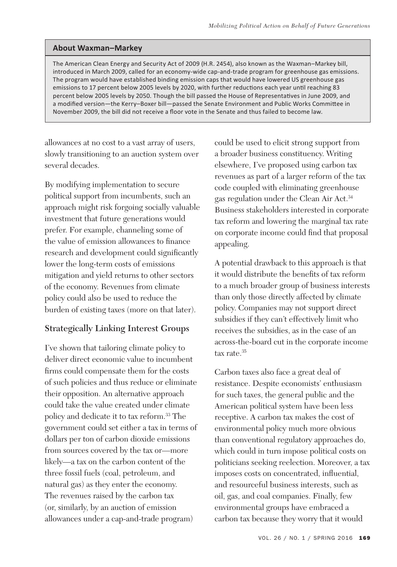#### **About Waxman–Markey**

The American Clean Energy and Security Act of 2009 (H.R. 2454), also known as the Waxman–Markey bill, introduced in March 2009, called for an economy-wide cap-and-trade program for greenhouse gas emissions. The program would have established binding emission caps that would have lowered US greenhouse gas emissions to 17 percent below 2005 levels by 2020, with further reductions each year until reaching 83 percent below 2005 levels by 2050. Though the bill passed the House of Representatives in June 2009, and a modified version—the Kerry–Boxer bill—passed the Senate Environment and Public Works Committee in November 2009, the bill did not receive a floor vote in the Senate and thus failed to become law.

allowances at no cost to a vast array of users, slowly transitioning to an auction system over several decades.

By modifying implementation to secure political support from incumbents, such an approach might risk forgoing socially valuable investment that future generations would prefer. For example, channeling some of the value of emission allowances to finance research and development could significantly lower the long-term costs of emissions mitigation and yield returns to other sectors of the economy. Revenues from climate policy could also be used to reduce the burden of existing taxes (more on that later).

#### **Strategically Linking Interest Groups**

I've shown that tailoring climate policy to deliver direct economic value to incumbent firms could compensate them for the costs of such policies and thus reduce or eliminate their opposition. An alternative approach could take the value created under climate policy and dedicate it to tax reform.33 The government could set either a tax in terms of dollars per ton of carbon dioxide emissions from sources covered by the tax or—more likely—a tax on the carbon content of the three fossil fuels (coal, petroleum, and natural gas) as they enter the economy. The revenues raised by the carbon tax (or, similarly, by an auction of emission allowances under a cap-and-trade program)

could be used to elicit strong support from a broader business constituency. Writing elsewhere, I've proposed using carbon tax revenues as part of a larger reform of the tax code coupled with eliminating greenhouse gas regulation under the Clean Air Act.34 Business stakeholders interested in corporate tax reform and lowering the marginal tax rate on corporate income could find that proposal appealing.

A potential drawback to this approach is that it would distribute the benefits of tax reform to a much broader group of business interests than only those directly affected by climate policy. Companies may not support direct subsidies if they can't effectively limit who receives the subsidies, as in the case of an across-the-board cut in the corporate income tax rate.<sup>35</sup>

Carbon taxes also face a great deal of resistance. Despite economists' enthusiasm for such taxes, the general public and the American political system have been less receptive. A carbon tax makes the cost of environmental policy much more obvious than conventional regulatory approaches do, which could in turn impose political costs on politicians seeking reelection. Moreover, a tax imposes costs on concentrated, influential, and resourceful business interests, such as oil, gas, and coal companies. Finally, few environmental groups have embraced a carbon tax because they worry that it would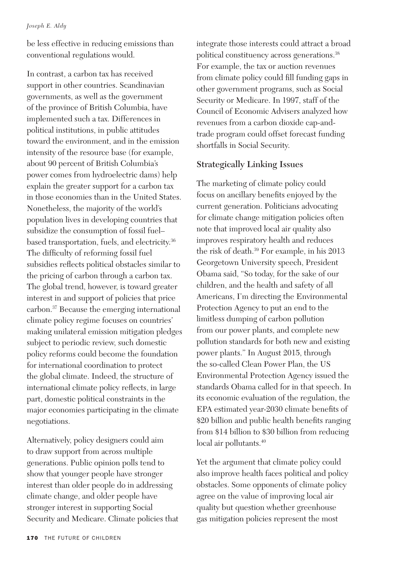be less effective in reducing emissions than conventional regulations would.

In contrast, a carbon tax has received support in other countries. Scandinavian governments, as well as the government of the province of British Columbia, have implemented such a tax. Differences in political institutions, in public attitudes toward the environment, and in the emission intensity of the resource base (for example, about 90 percent of British Columbia's power comes from hydroelectric dams) help explain the greater support for a carbon tax in those economies than in the United States. Nonetheless, the majority of the world's population lives in developing countries that subsidize the consumption of fossil fuel– based transportation, fuels, and electricity.<sup>36</sup> The difficulty of reforming fossil fuel subsidies reflects political obstacles similar to the pricing of carbon through a carbon tax. The global trend, however, is toward greater interest in and support of policies that price carbon.37 Because the emerging international climate policy regime focuses on countries' making unilateral emission mitigation pledges subject to periodic review, such domestic policy reforms could become the foundation for international coordination to protect the global climate. Indeed, the structure of international climate policy reflects, in large part, domestic political constraints in the major economies participating in the climate negotiations.

Alternatively, policy designers could aim to draw support from across multiple generations. Public opinion polls tend to show that younger people have stronger interest than older people do in addressing climate change, and older people have stronger interest in supporting Social Security and Medicare. Climate policies that integrate those interests could attract a broad political constituency across generations.38 For example, the tax or auction revenues from climate policy could fill funding gaps in other government programs, such as Social Security or Medicare. In 1997, staff of the Council of Economic Advisers analyzed how revenues from a carbon dioxide cap-andtrade program could offset forecast funding shortfalls in Social Security.

#### **Strategically Linking Issues**

The marketing of climate policy could focus on ancillary benefits enjoyed by the current generation. Politicians advocating for climate change mitigation policies often note that improved local air quality also improves respiratory health and reduces the risk of death.39 For example, in his 2013 Georgetown University speech, President Obama said, "So today, for the sake of our children, and the health and safety of all Americans, I'm directing the Environmental Protection Agency to put an end to the limitless dumping of carbon pollution from our power plants, and complete new pollution standards for both new and existing power plants." In August 2015, through the so-called Clean Power Plan, the US Environmental Protection Agency issued the standards Obama called for in that speech. In its economic evaluation of the regulation, the EPA estimated year-2030 climate benefits of \$20 billion and public health benefits ranging from \$14 billion to \$30 billion from reducing local air pollutants.<sup>40</sup>

Yet the argument that climate policy could also improve health faces political and policy obstacles. Some opponents of climate policy agree on the value of improving local air quality but question whether greenhouse gas mitigation policies represent the most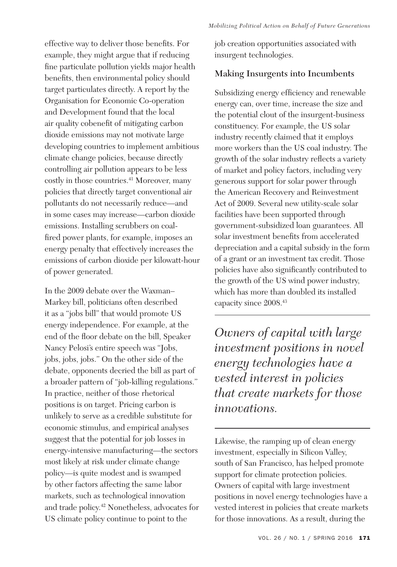effective way to deliver those benefits. For example, they might argue that if reducing fine particulate pollution yields major health benefits, then environmental policy should target particulates directly. A report by the Organisation for Economic Co-operation and Development found that the local air quality cobenefit of mitigating carbon dioxide emissions may not motivate large developing countries to implement ambitious climate change policies, because directly controlling air pollution appears to be less costly in those countries.<sup>41</sup> Moreover, many policies that directly target conventional air pollutants do not necessarily reduce—and in some cases may increase—carbon dioxide emissions. Installing scrubbers on coalfired power plants, for example, imposes an energy penalty that effectively increases the emissions of carbon dioxide per kilowatt-hour of power generated.

In the 2009 debate over the Waxman– Markey bill, politicians often described it as a "jobs bill" that would promote US energy independence. For example, at the end of the floor debate on the bill, Speaker Nancy Pelosi's entire speech was "Jobs, jobs, jobs, jobs." On the other side of the debate, opponents decried the bill as part of a broader pattern of "job-killing regulations." In practice, neither of those rhetorical positions is on target. Pricing carbon is unlikely to serve as a credible substitute for economic stimulus, and empirical analyses suggest that the potential for job losses in energy-intensive manufacturing—the sectors most likely at risk under climate change policy—is quite modest and is swamped by other factors affecting the same labor markets, such as technological innovation and trade policy.42 Nonetheless, advocates for US climate policy continue to point to the

job creation opportunities associated with insurgent technologies.

## **Making Insurgents into Incumbents**

Subsidizing energy efficiency and renewable energy can, over time, increase the size and the potential clout of the insurgent-business constituency. For example, the US solar industry recently claimed that it employs more workers than the US coal industry. The growth of the solar industry reflects a variety of market and policy factors, including very generous support for solar power through the American Recovery and Reinvestment Act of 2009. Several new utility-scale solar facilities have been supported through government-subsidized loan guarantees. All solar investment benefits from accelerated depreciation and a capital subsidy in the form of a grant or an investment tax credit. Those policies have also significantly contributed to the growth of the US wind power industry, which has more than doubled its installed capacity since 2008.43

*Owners of capital with large investment positions in novel energy technologies have a vested interest in policies that create markets for those innovations.*

Likewise, the ramping up of clean energy investment, especially in Silicon Valley, south of San Francisco, has helped promote support for climate protection policies. Owners of capital with large investment positions in novel energy technologies have a vested interest in policies that create markets for those innovations. As a result, during the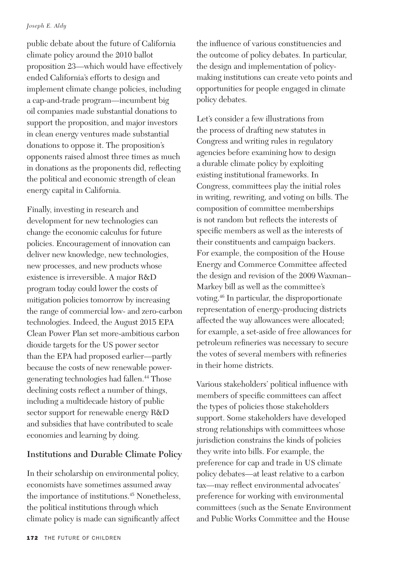public debate about the future of California climate policy around the 2010 ballot proposition 23—which would have effectively ended California's efforts to design and implement climate change policies, including a cap-and-trade program—incumbent big oil companies made substantial donations to support the proposition, and major investors in clean energy ventures made substantial donations to oppose it. The proposition's opponents raised almost three times as much in donations as the proponents did, reflecting the political and economic strength of clean energy capital in California.

Finally, investing in research and development for new technologies can change the economic calculus for future policies. Encouragement of innovation can deliver new knowledge, new technologies, new processes, and new products whose existence is irreversible. A major R&D program today could lower the costs of mitigation policies tomorrow by increasing the range of commercial low- and zero-carbon technologies. Indeed, the August 2015 EPA Clean Power Plan set more-ambitious carbon dioxide targets for the US power sector than the EPA had proposed earlier—partly because the costs of new renewable powergenerating technologies had fallen.44 Those declining costs reflect a number of things, including a multidecade history of public sector support for renewable energy R&D and subsidies that have contributed to scale economies and learning by doing.

## **Institutions and Durable Climate Policy**

In their scholarship on environmental policy, economists have sometimes assumed away the importance of institutions.45 Nonetheless, the political institutions through which climate policy is made can significantly affect

the influence of various constituencies and the outcome of policy debates. In particular, the design and implementation of policymaking institutions can create veto points and opportunities for people engaged in climate policy debates.

Let's consider a few illustrations from the process of drafting new statutes in Congress and writing rules in regulatory agencies before examining how to design a durable climate policy by exploiting existing institutional frameworks. In Congress, committees play the initial roles in writing, rewriting, and voting on bills. The composition of committee memberships is not random but reflects the interests of specific members as well as the interests of their constituents and campaign backers. For example, the composition of the House Energy and Commerce Committee affected the design and revision of the 2009 Waxman– Markey bill as well as the committee's voting.46 In particular, the disproportionate representation of energy-producing districts affected the way allowances were allocated; for example, a set-aside of free allowances for petroleum refineries was necessary to secure the votes of several members with refineries in their home districts.

Various stakeholders' political influence with members of specific committees can affect the types of policies those stakeholders support. Some stakeholders have developed strong relationships with committees whose jurisdiction constrains the kinds of policies they write into bills. For example, the preference for cap and trade in US climate policy debates—at least relative to a carbon tax—may reflect environmental advocates' preference for working with environmental committees (such as the Senate Environment and Public Works Committee and the House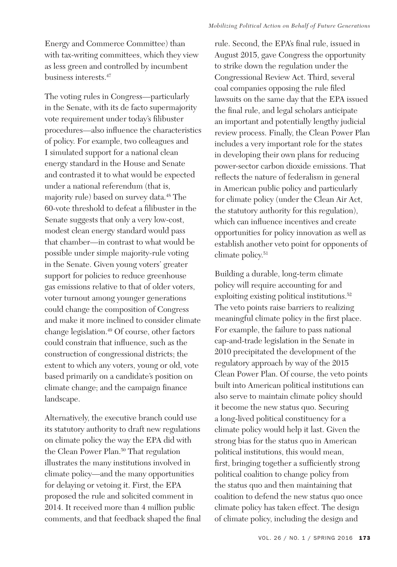Energy and Commerce Committee) than with tax-writing committees, which they view as less green and controlled by incumbent business interests.47

The voting rules in Congress—particularly in the Senate, with its de facto supermajority vote requirement under today's filibuster procedures—also influence the characteristics of policy. For example, two colleagues and I simulated support for a national clean energy standard in the House and Senate and contrasted it to what would be expected under a national referendum (that is, majority rule) based on survey data.<sup>48</sup> The 60-vote threshold to defeat a filibuster in the Senate suggests that only a very low-cost, modest clean energy standard would pass that chamber—in contrast to what would be possible under simple majority-rule voting in the Senate. Given young voters' greater support for policies to reduce greenhouse gas emissions relative to that of older voters, voter turnout among younger generations could change the composition of Congress and make it more inclined to consider climate change legislation.49 Of course, other factors could constrain that influence, such as the construction of congressional districts; the extent to which any voters, young or old, vote based primarily on a candidate's position on climate change; and the campaign finance landscape.

Alternatively, the executive branch could use its statutory authority to draft new regulations on climate policy the way the EPA did with the Clean Power Plan.<sup>50</sup> That regulation illustrates the many institutions involved in climate policy—and the many opportunities for delaying or vetoing it. First, the EPA proposed the rule and solicited comment in 2014. It received more than 4 million public comments, and that feedback shaped the final rule. Second, the EPA's final rule, issued in August 2015, gave Congress the opportunity to strike down the regulation under the Congressional Review Act. Third, several coal companies opposing the rule filed lawsuits on the same day that the EPA issued the final rule, and legal scholars anticipate an important and potentially lengthy judicial review process. Finally, the Clean Power Plan includes a very important role for the states in developing their own plans for reducing power-sector carbon dioxide emissions. That reflects the nature of federalism in general in American public policy and particularly for climate policy (under the Clean Air Act, the statutory authority for this regulation), which can influence incentives and create opportunities for policy innovation as well as establish another veto point for opponents of climate policy.<sup>51</sup>

Building a durable, long-term climate policy will require accounting for and exploiting existing political institutions.52 The veto points raise barriers to realizing meaningful climate policy in the first place. For example, the failure to pass national cap-and-trade legislation in the Senate in 2010 precipitated the development of the regulatory approach by way of the 2015 Clean Power Plan. Of course, the veto points built into American political institutions can also serve to maintain climate policy should it become the new status quo. Securing a long-lived political constituency for a climate policy would help it last. Given the strong bias for the status quo in American political institutions, this would mean, first, bringing together a sufficiently strong political coalition to change policy from the status quo and then maintaining that coalition to defend the new status quo once climate policy has taken effect. The design of climate policy, including the design and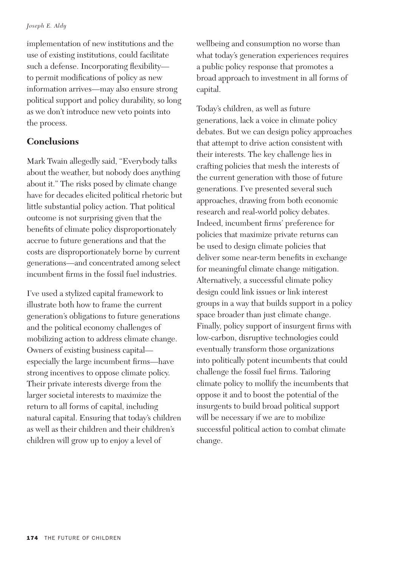implementation of new institutions and the use of existing institutions, could facilitate such a defense. Incorporating flexibility to permit modifications of policy as new information arrives—may also ensure strong political support and policy durability, so long as we don't introduce new veto points into the process.

## **Conclusions**

Mark Twain allegedly said, "Everybody talks about the weather, but nobody does anything about it." The risks posed by climate change have for decades elicited political rhetoric but little substantial policy action. That political outcome is not surprising given that the benefits of climate policy disproportionately accrue to future generations and that the costs are disproportionately borne by current generations—and concentrated among select incumbent firms in the fossil fuel industries.

I've used a stylized capital framework to illustrate both how to frame the current generation's obligations to future generations and the political economy challenges of mobilizing action to address climate change. Owners of existing business capital especially the large incumbent firms—have strong incentives to oppose climate policy. Their private interests diverge from the larger societal interests to maximize the return to all forms of capital, including natural capital. Ensuring that today's children as well as their children and their children's children will grow up to enjoy a level of

wellbeing and consumption no worse than what today's generation experiences requires a public policy response that promotes a broad approach to investment in all forms of capital.

Today's children, as well as future generations, lack a voice in climate policy debates. But we can design policy approaches that attempt to drive action consistent with their interests. The key challenge lies in crafting policies that mesh the interests of the current generation with those of future generations. I've presented several such approaches, drawing from both economic research and real-world policy debates. Indeed, incumbent firms' preference for policies that maximize private returns can be used to design climate policies that deliver some near-term benefits in exchange for meaningful climate change mitigation. Alternatively, a successful climate policy design could link issues or link interest groups in a way that builds support in a policy space broader than just climate change. Finally, policy support of insurgent firms with low-carbon, disruptive technologies could eventually transform those organizations into politically potent incumbents that could challenge the fossil fuel firms. Tailoring climate policy to mollify the incumbents that oppose it and to boost the potential of the insurgents to build broad political support will be necessary if we are to mobilize successful political action to combat climate change.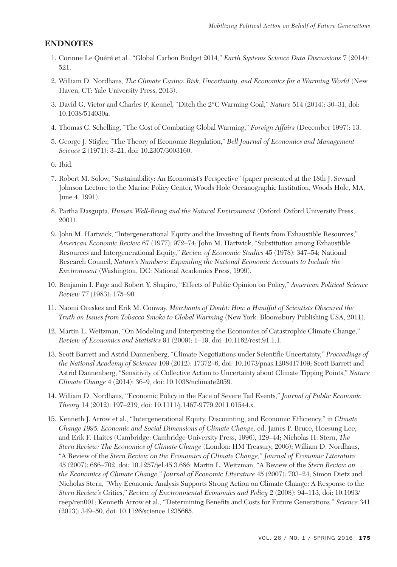#### **ENDNOTES**

- 1. Corinne Le Quéré et al., "Global Carbon Budget 2014," *Earth Systems Science Data Discussions* 7 (2014): 521.
- 2. William D. Nordhaus, *The Climate Casino: Risk, Uncertainty, and Economics for a Warming World* (New Haven, CT: Yale University Press, 2013).
- 3. David G. Victor and Charles F. Kennel, "Ditch the 2°C Warming Goal," *Nature* 514 (2014): 30–31, doi: 10.1038/514030a.
- 4. Thomas C. Schelling, "The Cost of Combating Global Warming," *Foreign Affairs* (December 1997): 13.
- 5. George J. Stigler, "The Theory of Economic Regulation," *Bell Journal of Economics and Management Science* 2 (1971): 3–21, doi: 10.2307/3003160.
- 6. Ibid.
- 7. Robert M. Solow, "Sustainability: An Economist's Perspective" (paper presented at the 18th J. Seward Johnson Lecture to the Marine Policy Center, Woods Hole Oceanographic Institution, Woods Hole, MA, June 4, 1991).
- 8. Partha Dasgupta, *Human Well-Being and the Natural Environment* (Oxford: Oxford University Press, 2001).
- 9. John M. Hartwick, "Intergenerational Equity and the Investing of Rents from Exhaustible Resources," *American Economic Review* 67 (1977): 972–74; John M. Hartwick, "Substitution among Exhaustible Resources and Intergenerational Equity," *Review of Economic Studies* 45 (1978): 347–54; National Research Council, *Nature's Numbers: Expanding the National Economic Accounts to Include the Environment* (Washington, DC: National Academies Press, 1999).
- 10. Benjamin I. Page and Robert Y. Shapiro, "Effects of Public Opinion on Policy," *American Political Science Review* 77 (1983): 175–90.
- 11. Naomi Oreskes and Erik M. Conway, *Merchants of Doubt: How a Handful of Scientists Obscured the Truth on Issues from Tobacco Smoke to Global Warming* (New York: Bloomsbury Publishing USA, 2011).
- 12. Martin L. Weitzman, "On Modeling and Interpreting the Economics of Catastrophic Climate Change," *Review of Economics and Statistics* 91 (2009): 1–19, doi: 10.1162/rest.91.1.1.
- 13. Scott Barrett and Astrid Dannenberg, "Climate Negotiations under Scientific Uncertainty," *Proceedings of the National Academy of Sciences* 109 (2012): 17372–6, doi: 10.1073/pnas.1208417109; Scott Barrett and Astrid Dannenberg, "Sensitivity of Collective Action to Uncertainty about Climate Tipping Points," *Nature Climate Change* 4 (2014): 36–9, doi: 10.1038/nclimate2059.
- 14. William D. Nordhaus, "Economic Policy in the Face of Severe Tail Events," *Journal of Public Economic Theory* 14 (2012): 197–219, doi: 10.1111/j.1467-9779.2011.01544.x.
- 15. Kenneth J. Arrow et al., "Intergenerational Equity, Discounting, and Economic Efficiency," in *Climate Change 1995: Economic and Social Dimensions of Climate Change,* ed. James P. Bruce, Hoesung Lee, and Erik F. Haites (Cambridge: Cambridge University Press, 1996), 129–44; Nicholas H. Stern, *The Stern Review: The Economics of Climate Change* (London: HM Treasury, 2006); William D. Nordhaus, "A Review of the *Stern Review on the Economics of Climate Change," Journal of Economic Literature* 45 (2007): 686–702, doi: 10.1257/jel.45.3.686; Martin L. Weitzman, "A Review of the *Stern Review on the Economics of Climate Change," Journal of Economic Literature* 45 (2007): 703–24; Simon Dietz and Nicholas Stern, "Why Economic Analysis Supports Strong Action on Climate Change: A Response to the *Stern Review's* Critics," *Review of Environmental Economics and Policy* 2 (2008): 94–113, doi: 10.1093/ reep/ren001; Kenneth Arrow et al., "Determining Benefits and Costs for Future Generations," *Science* 341 (2013): 349–50, doi: 10.1126/science.1235665.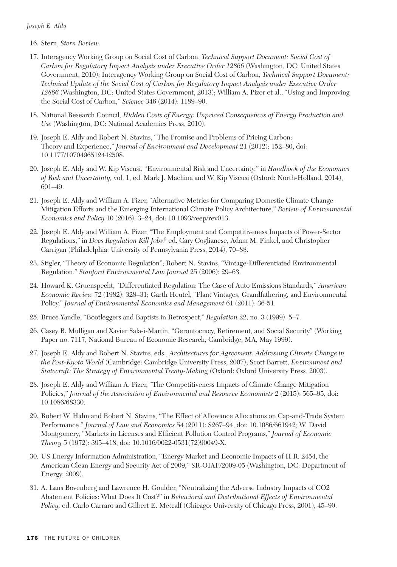- 16. Stern, *Stern Review.*
- 17. Interagency Working Group on Social Cost of Carbon, *Technical Support Document: Social Cost of Carbon for Regulatory Impact Analysis under Executive Order 12866* (Washington, DC: United States Government, 2010); Interagency Working Group on Social Cost of Carbon, *Technical Support Document: Technical Update of the Social Cost of Carbon for Regulatory Impact Analysis under Executive Order 12866* (Washington, DC: United States Government, 2013); William A. Pizer et al., "Using and Improving the Social Cost of Carbon," *Science* 346 (2014): 1189–90.
- 18. National Research Council, *Hidden Costs of Energy: Unpriced Consequences of Energy Production and Use* (Washington, DC: National Academies Press, 2010).
- 19. Joseph E. Aldy and Robert N. Stavins, "The Promise and Problems of Pricing Carbon: Theory and Experience," *Journal of Environment and Development* 21 (2012): 152–80, doi: 10.1177/1070496512442508.
- 20. Joseph E. Aldy and W. Kip Viscusi, "Environmental Risk and Uncertainty," in *Handbook of the Economics of Risk and Uncertainty,* vol. 1, ed. Mark J. Machina and W. Kip Viscusi (Oxford: North-Holland, 2014), 601–49.
- 21. Joseph E. Aldy and William A. Pizer, "Alternative Metrics for Comparing Domestic Climate Change Mitigation Efforts and the Emerging International Climate Policy Architecture," *Review of Environmental Economics and Policy* 10 (2016): 3–24, doi: 10.1093/reep/rev013.
- 22. Joseph E. Aldy and William A. Pizer, "The Employment and Competitiveness Impacts of Power-Sector Regulations," in *Does Regulation Kill Jobs?* ed. Cary Coglianese, Adam M. Finkel, and Christopher Carrigan (Philadelphia: University of Pennsylvania Press, 2014), 70–88.
- 23. Stigler, "Theory of Economic Regulation"; Robert N. Stavins, "Vintage-Differentiated Environmental Regulation," *Stanford Environmental Law Journal* 25 (2006): 29–63.
- 24. Howard K. Gruenspecht, "Differentiated Regulation: The Case of Auto Emissions Standards," *American Economic Review* 72 (1982): 328–31; Garth Heutel, "Plant Vintages, Grandfathering, and Environmental Policy," *Journal of Environmental Economics and Management* 61 (2011): 36-51.
- 25. Bruce Yandle, "Bootleggers and Baptists in Retrospect," *Regulation* 22, no. 3 (1999): 5–7.
- 26. Casey B. Mulligan and Xavier Sala-i-Martin, "Gerontocracy, Retirement, and Social Security" (Working Paper no. 7117, National Bureau of Economic Research, Cambridge, MA, May 1999).
- 27. Joseph E. Aldy and Robert N. Stavins, eds., *Architectures for Agreement: Addressing Climate Change in the Post-Kyoto World* (Cambridge: Cambridge University Press, 2007); Scott Barrett, *Environment and Statecraft: The Strategy of Environmental Treaty-Making* (Oxford: Oxford University Press, 2003).
- 28. Joseph E. Aldy and William A. Pizer, "The Competitiveness Impacts of Climate Change Mitigation Policies," *Journal of the Association of Environmental and Resource Economists* 2 (2015): 565–95, doi: 10.1086/68330.
- 29. Robert W. Hahn and Robert N. Stavins, "The Effect of Allowance Allocations on Cap-and-Trade System Performance," *Journal of Law and Economics* 54 (2011): S267–94, doi: 10.1086/661942; W. David Montgomery, "Markets in Licenses and Efficient Pollution Control Programs," *Journal of Economic Theory* 5 (1972): 395–418, doi: 10.1016/0022-0531(72)90049-X.
- 30. US Energy Information Administration, "Energy Market and Economic Impacts of H.R. 2454, the American Clean Energy and Security Act of 2009," SR-OIAF/2009-05 (Washington, DC: Department of Energy, 2009).
- 31. A. Lans Bovenberg and Lawrence H. Goulder, "Neutralizing the Adverse Industry Impacts of CO2 Abatement Policies: What Does It Cost?" in *Behavioral and Distributional Effects of Environmental Policy,* ed. Carlo Carraro and Gilbert E. Metcalf (Chicago: University of Chicago Press, 2001), 45–90.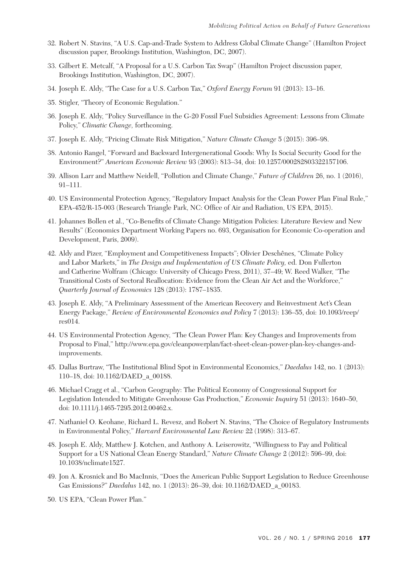- 32. Robert N. Stavins, "A U.S. Cap-and-Trade System to Address Global Climate Change" (Hamilton Project discussion paper, Brookings Institution, Washington, DC, 2007).
- 33. Gilbert E. Metcalf, "A Proposal for a U.S. Carbon Tax Swap" (Hamilton Project discussion paper, Brookings Institution, Washington, DC, 2007).
- 34. Joseph E. Aldy, "The Case for a U.S. Carbon Tax," *Oxford Energy Forum* 91 (2013): 13–16.
- 35. Stigler, "Theory of Economic Regulation."
- 36. Joseph E. Aldy, "Policy Surveillance in the G-20 Fossil Fuel Subsidies Agreement: Lessons from Climate Policy," *Climatic Change,* forthcoming.
- 37. Joseph E. Aldy, "Pricing Climate Risk Mitigation," *Nature Climate Change* 5 (2015): 396–98.
- 38. Antonio Rangel, "Forward and Backward Intergenerational Goods: Why Is Social Security Good for the Environment?" *American Economic Review* 93 (2003): 813–34, doi: 10.1257/000282803322157106.
- 39. Allison Larr and Matthew Neidell, "Pollution and Climate Change," *Future of Children* 26, no. 1 (2016), 91–111.
- 40. US Environmental Protection Agency, "Regulatory Impact Analysis for the Clean Power Plan Final Rule," EPA-452/R-15-003 (Research Triangle Park, NC: Office of Air and Radiation, US EPA, 2015).
- 41. Johannes Bollen et al., "Co-Benefits of Climate Change Mitigation Policies: Literature Review and New Results" (Economics Department Working Papers no. 693, Organisation for Economic Co-operation and Development, Paris, 2009).
- 42. Aldy and Pizer, "Employment and Competitiveness Impacts"; Olivier Deschênes, "Climate Policy and Labor Markets," in *The Design and Implementation of US Climate Policy,* ed. Don Fullerton and Catherine Wolfram (Chicago: University of Chicago Press, 2011), 37–49; W. Reed Walker, "The Transitional Costs of Sectoral Reallocation: Evidence from the Clean Air Act and the Workforce," *Quarterly Journal of Economics* 128 (2013): 1787–1835.
- 43. Joseph E. Aldy, "A Preliminary Assessment of the American Recovery and Reinvestment Act's Clean Energy Package," *Review of Environmental Economics and Policy* 7 (2013): 136–55, doi: 10.1093/reep/ res014.
- 44. US Environmental Protection Agency, "The Clean Power Plan: Key Changes and Improvements from Proposal to Final," http://www.epa.gov/cleanpowerplan/fact-sheet-clean-power-plan-key-changes-andimprovements.
- 45. Dallas Burtraw, "The Institutional Blind Spot in Environmental Economics," *Daedalus* 142, no. 1 (2013): 110–18, doi: 10.1162/DAED\_a\_00188.
- 46. Michael Cragg et al., "Carbon Geography: The Political Economy of Congressional Support for Legislation Intended to Mitigate Greenhouse Gas Production," *Economic Inquiry* 51 (2013): 1640–50, doi: 10.1111/j.1465-7295.2012.00462.x.
- 47. Nathaniel O. Keohane, Richard L. Revesz, and Robert N. Stavins, "The Choice of Regulatory Instruments in Environmental Policy," *Harvard Environmental Law Review* 22 (1998): 313–67.
- 48. Joseph E. Aldy, Matthew J. Kotchen, and Anthony A. Leiserowitz, "Willingness to Pay and Political Support for a US National Clean Energy Standard," *Nature Climate Change* 2 (2012): 596–99, doi: 10.1038/nclimate1527.
- 49. Jon A. Krosnick and Bo MacInnis, "Does the American Public Support Legislation to Reduce Greenhouse Gas Emissions?" *Daedalus* 142, no. 1 (2013): 26–39, doi: 10.1162/DAED\_a\_00183.
- 50. US EPA, "Clean Power Plan."